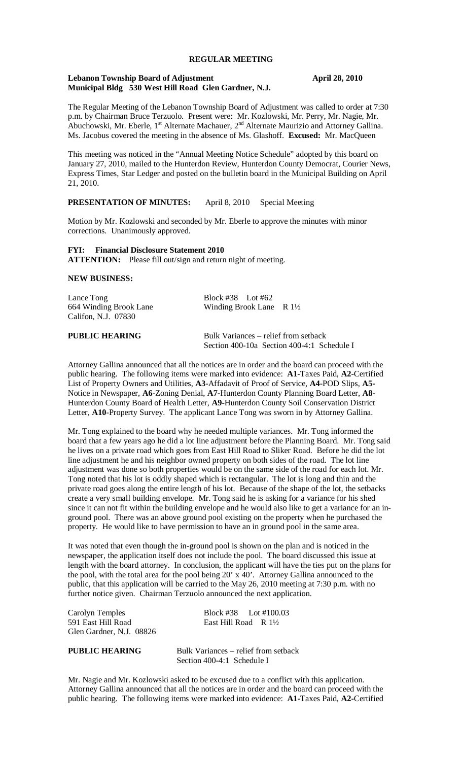### **REGULAR MEETING**

## **Lebanon Township Board of Adjustment April 28, 2010 Municipal Bldg 530 West Hill Road Glen Gardner, N.J.**

The Regular Meeting of the Lebanon Township Board of Adjustment was called to order at 7:30 p.m. by Chairman Bruce Terzuolo. Present were: Mr. Kozlowski, Mr. Perry, Mr. Nagie, Mr. Abuchowski, Mr. Eberle,  $1^{st}$  Alternate Machauer,  $2^{nd}$  Alternate Maurizio and Attorney Gallina. Ms. Jacobus covered the meeting in the absence of Ms. Glashoff. **Excused:** Mr. MacQueen

This meeting was noticed in the "Annual Meeting Notice Schedule" adopted by this board on January 27, 2010, mailed to the Hunterdon Review, Hunterdon County Democrat, Courier News, Express Times, Star Ledger and posted on the bulletin board in the Municipal Building on April 21, 2010.

# **PRESENTATION OF MINUTES:** April 8, 2010 Special Meeting

Motion by Mr. Kozlowski and seconded by Mr. Eberle to approve the minutes with minor corrections. Unanimously approved.

**FYI: Financial Disclosure Statement 2010 ATTENTION:** Please fill out/sign and return night of meeting.

## **NEW BUSINESS:**

| Lance Tong             | Block #38 Lot #62                                       |  |
|------------------------|---------------------------------------------------------|--|
| 664 Winding Brook Lane | Winding Brook Lane $\,$ R 1 <sup>1</sup> / <sub>2</sub> |  |
| Califon, N.J. 07830    |                                                         |  |
| <b>PUBLIC HEARING</b>  | Bulk Variances – relief from setback                    |  |
|                        | Section 400-10a Section 400-4:1 Schedule I              |  |

Attorney Gallina announced that all the notices are in order and the board can proceed with the public hearing. The following items were marked into evidence: **A1**-Taxes Paid, **A2**-Certified List of Property Owners and Utilities, **A3**-Affadavit of Proof of Service, **A4**-POD Slips, **A5-** Notice in Newspaper, **A6**-Zoning Denial, **A7-**Hunterdon County Planning Board Letter, **A8-** Hunterdon County Board of Health Letter, **A9**-Hunterdon County Soil Conservation District Letter, **A10**-Property Survey. The applicant Lance Tong was sworn in by Attorney Gallina.

Mr. Tong explained to the board why he needed multiple variances. Mr. Tong informed the board that a few years ago he did a lot line adjustment before the Planning Board. Mr. Tong said he lives on a private road which goes from East Hill Road to Sliker Road. Before he did the lot line adjustment he and his neighbor owned property on both sides of the road. The lot line adjustment was done so both properties would be on the same side of the road for each lot. Mr. Tong noted that his lot is oddly shaped which is rectangular. The lot is long and thin and the private road goes along the entire length of his lot. Because of the shape of the lot, the setbacks create a very small building envelope. Mr. Tong said he is asking for a variance for his shed since it can not fit within the building envelope and he would also like to get a variance for an inground pool. There was an above ground pool existing on the property when he purchased the property. He would like to have permission to have an in ground pool in the same area.

It was noted that even though the in-ground pool is shown on the plan and is noticed in the newspaper, the application itself does not include the pool. The board discussed this issue at length with the board attorney. In conclusion, the applicant will have the ties put on the plans for the pool, with the total area for the pool being 20' x 40'. Attorney Gallina announced to the public, that this application will be carried to the May 26, 2010 meeting at 7:30 p.m. with no further notice given. Chairman Terzuolo announced the next application.

| Carolyn Temples          | Block #38 Lot #100.03           |  |
|--------------------------|---------------------------------|--|
| 591 East Hill Road       | East Hill Road R $1\frac{1}{2}$ |  |
| Glen Gardner, N.J. 08826 |                                 |  |

**PUBLIC HEARING** Bulk Variances – relief from setback Section 400-4:1 Schedule I

Mr. Nagie and Mr. Kozlowski asked to be excused due to a conflict with this application. Attorney Gallina announced that all the notices are in order and the board can proceed with the public hearing. The following items were marked into evidence: **A1-**Taxes Paid, **A2-**Certified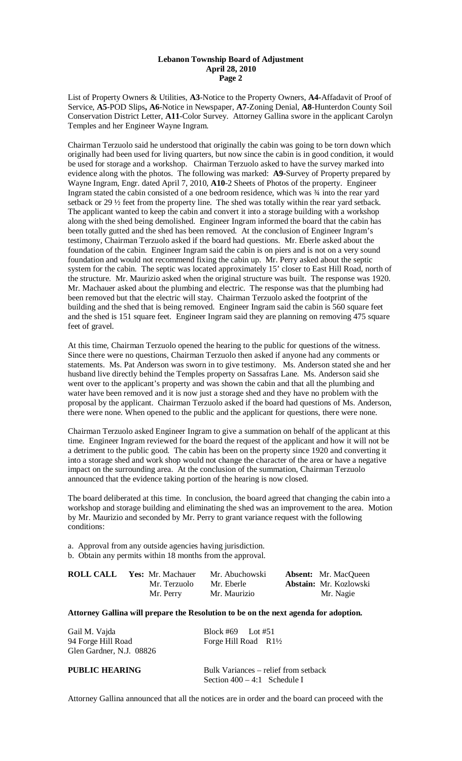## **Lebanon Township Board of Adjustment April 28, 2010 Page 2**

List of Property Owners & Utilities, **A3**-Notice to the Property Owners, **A4-**Affadavit of Proof of Service, **A5**-POD Slips**, A6**-Notice in Newspaper, **A7**-Zoning Denial, **A8**-Hunterdon County Soil Conservation District Letter, **A11**-Color Survey. Attorney Gallina swore in the applicant Carolyn Temples and her Engineer Wayne Ingram.

Chairman Terzuolo said he understood that originally the cabin was going to be torn down which originally had been used for living quarters, but now since the cabin is in good condition, it would be used for storage and a workshop. Chairman Terzuolo asked to have the survey marked into evidence along with the photos. The following was marked: **A9-**Survey of Property prepared by Wayne Ingram, Engr. dated April 7, 2010, **A10**-2 Sheets of Photos of the property. Engineer Ingram stated the cabin consisted of a one bedroom residence, which was ¾ into the rear yard setback or 29 ½ feet from the property line. The shed was totally within the rear yard setback. The applicant wanted to keep the cabin and convert it into a storage building with a workshop along with the shed being demolished. Engineer Ingram informed the board that the cabin has been totally gutted and the shed has been removed. At the conclusion of Engineer Ingram's testimony, Chairman Terzuolo asked if the board had questions. Mr. Eberle asked about the foundation of the cabin. Engineer Ingram said the cabin is on piers and is not on a very sound foundation and would not recommend fixing the cabin up. Mr. Perry asked about the septic system for the cabin. The septic was located approximately 15' closer to East Hill Road, north of the structure. Mr. Maurizio asked when the original structure was built. The response was 1920. Mr. Machauer asked about the plumbing and electric. The response was that the plumbing had been removed but that the electric will stay. Chairman Terzuolo asked the footprint of the building and the shed that is being removed. Engineer Ingram said the cabin is 560 square feet and the shed is 151 square feet. Engineer Ingram said they are planning on removing 475 square feet of gravel.

At this time, Chairman Terzuolo opened the hearing to the public for questions of the witness. Since there were no questions, Chairman Terzuolo then asked if anyone had any comments or statements. Ms. Pat Anderson was sworn in to give testimony. Ms. Anderson stated she and her husband live directly behind the Temples property on Sassafras Lane. Ms. Anderson said she went over to the applicant's property and was shown the cabin and that all the plumbing and water have been removed and it is now just a storage shed and they have no problem with the proposal by the applicant. Chairman Terzuolo asked if the board had questions of Ms. Anderson, there were none. When opened to the public and the applicant for questions, there were none.

Chairman Terzuolo asked Engineer Ingram to give a summation on behalf of the applicant at this time. Engineer Ingram reviewed for the board the request of the applicant and how it will not be a detriment to the public good. The cabin has been on the property since 1920 and converting it into a storage shed and work shop would not change the character of the area or have a negative impact on the surrounding area. At the conclusion of the summation, Chairman Terzuolo announced that the evidence taking portion of the hearing is now closed.

The board deliberated at this time. In conclusion, the board agreed that changing the cabin into a workshop and storage building and eliminating the shed was an improvement to the area. Motion by Mr. Maurizio and seconded by Mr. Perry to grant variance request with the following conditions:

a. Approval from any outside agencies having jurisdiction. b. Obtain any permits within 18 months from the approval.

| <b>ROLL CALL</b> | <b>Yes:</b> Mr. Machauer | Mr. Abuchowski | <b>Absent:</b> Mr. MacQueen   |
|------------------|--------------------------|----------------|-------------------------------|
|                  | Mr. Terzuolo             | Mr. Eberle     | <b>Abstain:</b> Mr. Kozlowski |
|                  | Mr. Perry                | Mr. Maurizio   | Mr. Nagie                     |

### **Attorney Gallina will prepare the Resolution to be on the next agenda for adoption.**

| Gail M. Vajda<br>94 Forge Hill Road<br>Glen Gardner, N.J. 08826 | Block #69 Lot #51<br>Forge Hill Road $R1\frac{1}{2}$                   |
|-----------------------------------------------------------------|------------------------------------------------------------------------|
| PUBLIC HEARING                                                  | Bulk Variances – relief from setback<br>Section $400 - 4:1$ Schedule I |

Attorney Gallina announced that all the notices are in order and the board can proceed with the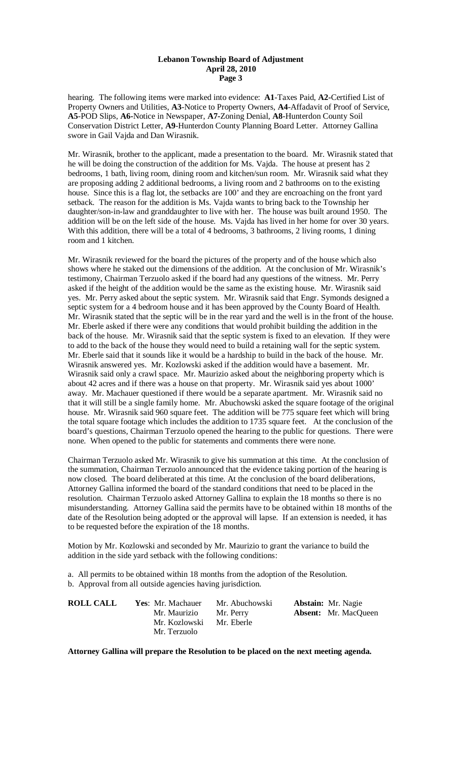## **Lebanon Township Board of Adjustment April 28, 2010 Page 3**

hearing. The following items were marked into evidence: **A1**-Taxes Paid, **A2-**Certified List of Property Owners and Utilities, **A3**-Notice to Property Owners, **A4**-Affadavit of Proof of Service, **A5**-POD Slips, **A6-**Notice in Newspaper, **A7-**Zoning Denial, **A8**-Hunterdon County Soil Conservation District Letter, **A9**-Hunterdon County Planning Board Letter. Attorney Gallina swore in Gail Vajda and Dan Wirasnik.

Mr. Wirasnik, brother to the applicant, made a presentation to the board. Mr. Wirasnik stated that he will be doing the construction of the addition for Ms. Vajda. The house at present has 2 bedrooms, 1 bath, living room, dining room and kitchen/sun room. Mr. Wirasnik said what they are proposing adding 2 additional bedrooms, a living room and 2 bathrooms on to the existing house. Since this is a flag lot, the setbacks are 100' and they are encroaching on the front yard setback. The reason for the addition is Ms. Vajda wants to bring back to the Township her daughter/son-in-law and granddaughter to live with her. The house was built around 1950. The addition will be on the left side of the house. Ms. Vajda has lived in her home for over 30 years. With this addition, there will be a total of 4 bedrooms, 3 bathrooms, 2 living rooms, 1 dining room and 1 kitchen.

Mr. Wirasnik reviewed for the board the pictures of the property and of the house which also shows where he staked out the dimensions of the addition. At the conclusion of Mr. Wirasnik's testimony, Chairman Terzuolo asked if the board had any questions of the witness. Mr. Perry asked if the height of the addition would be the same as the existing house. Mr. Wirasnik said yes. Mr. Perry asked about the septic system. Mr. Wirasnik said that Engr. Symonds designed a septic system for a 4 bedroom house and it has been approved by the County Board of Health. Mr. Wirasnik stated that the septic will be in the rear yard and the well is in the front of the house. Mr. Eberle asked if there were any conditions that would prohibit building the addition in the back of the house. Mr. Wirasnik said that the septic system is fixed to an elevation. If they were to add to the back of the house they would need to build a retaining wall for the septic system. Mr. Eberle said that it sounds like it would be a hardship to build in the back of the house. Mr. Wirasnik answered yes. Mr. Kozlowski asked if the addition would have a basement. Mr. Wirasnik said only a crawl space. Mr. Maurizio asked about the neighboring property which is about 42 acres and if there was a house on that property. Mr. Wirasnik said yes about 1000' away. Mr. Machauer questioned if there would be a separate apartment. Mr. Wirasnik said no that it will still be a single family home. Mr. Abuchowski asked the square footage of the original house. Mr. Wirasnik said 960 square feet. The addition will be 775 square feet which will bring the total square footage which includes the addition to 1735 square feet. At the conclusion of the board's questions, Chairman Terzuolo opened the hearing to the public for questions. There were none. When opened to the public for statements and comments there were none.

Chairman Terzuolo asked Mr. Wirasnik to give his summation at this time. At the conclusion of the summation, Chairman Terzuolo announced that the evidence taking portion of the hearing is now closed. The board deliberated at this time. At the conclusion of the board deliberations, Attorney Gallina informed the board of the standard conditions that need to be placed in the resolution. Chairman Terzuolo asked Attorney Gallina to explain the 18 months so there is no misunderstanding. Attorney Gallina said the permits have to be obtained within 18 months of the date of the Resolution being adopted or the approval will lapse. If an extension is needed, it has to be requested before the expiration of the 18 months.

Motion by Mr. Kozlowski and seconded by Mr. Maurizio to grant the variance to build the addition in the side yard setback with the following conditions:

a. All permits to be obtained within 18 months from the adoption of the Resolution. b. Approval from all outside agencies having jurisdiction.

| <b>ROLL CALL</b> | Yes: Mr. Machauer | Mr. Abuchowski | <b>Abstain:</b> Mr. Nagie   |
|------------------|-------------------|----------------|-----------------------------|
|                  | Mr. Maurizio      | Mr. Perry      | <b>Absent:</b> Mr. MacQueen |
|                  | Mr. Kozlowski     | Mr. Eberle     |                             |
|                  | Mr. Terzuolo      |                |                             |

**Attorney Gallina will prepare the Resolution to be placed on the next meeting agenda.**